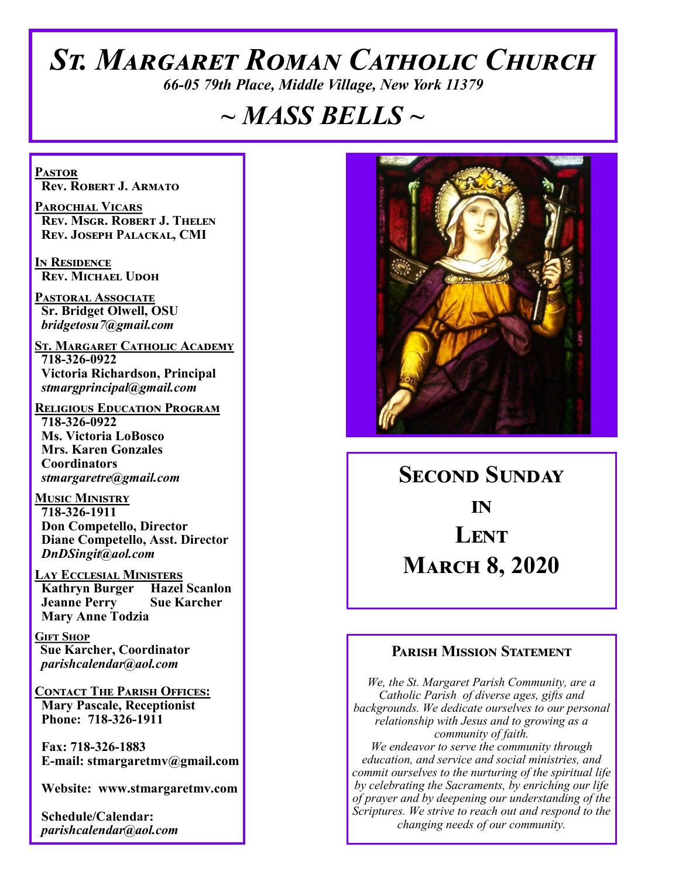# *St. Margaret Roman Catholic Church*

*66-05 79th Place, Middle Village, New York 11379*

# *~ MASS BELLS ~*

**Pastor Rev. Robert J. Armato**

**Parochial Vicars Rev. Msgr. Robert J. Thelen Rev. Joseph Palackal, CMI**

**In Residence Rev. Michael Udoh**

**Pastoral Associate Sr. Bridget Olwell, OSU**  *bridgetosu7@gmail.com*

**St. Margaret Catholic Academy 718-326-0922 Victoria Richardson, Principal**  *stmargprincipal@gmail.com*

**Religious Education Program 718-326-0922 Ms. Victoria LoBosco Mrs. Karen Gonzales Coordinators** *stmargaretre@gmail.com*

**Music Ministry 718-326-1911 Don Competello, Director Diane Competello, Asst. Director** *DnDSingit@aol.com*

**LAY ECCLESIAL MINISTERS<br>
Kathryn Burger Hazel Scanlon Kathryn Burger Jeanne Perry Sue Karcher Mary Anne Todzia**

**Gift Shop Sue Karcher, Coordinator** *parishcalendar@aol.com*

**Contact The Parish Offices: Mary Pascale, Receptionist Phone: 718-326-1911** 

 **Fax: 718-326-1883 E-mail: stmargaretmv@gmail.com**

 **Website: www.stmargaretmv.com**

 **Schedule/Calendar:** *parishcalendar@aol.com* 



**Second Sunday in Lent March 8, 2020** 

### **Parish Mission Statement**

*We, the St. Margaret Parish Community, are a Catholic Parish of diverse ages, gifts and backgrounds. We dedicate ourselves to our personal relationship with Jesus and to growing as a community of faith. We endeavor to serve the community through education, and service and social ministries, and commit ourselves to the nurturing of the spiritual life by celebrating the Sacraments, by enriching our life of prayer and by deepening our understanding of the Scriptures. We strive to reach out and respond to the changing needs of our community.*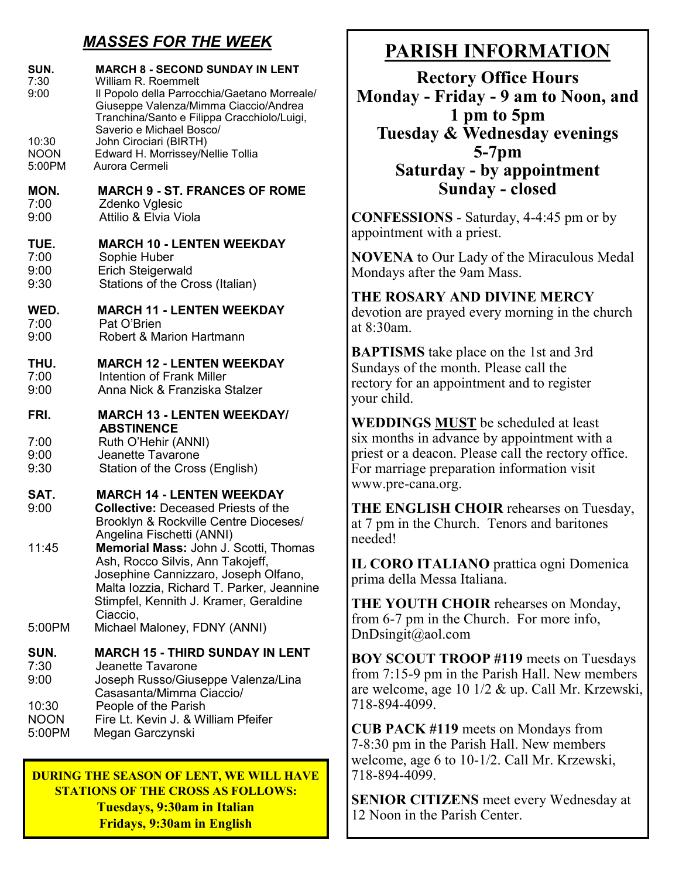# *MASSES FOR THE WEEK*

| SUN.<br>7:30<br>9:00<br>10:30<br><b>NOON</b><br>5:00PM | <b>MARCH 8 - SECOND SUNDAY IN LENT</b><br>William R. Roemmelt<br>Il Popolo della Parrocchia/Gaetano Morreale/<br>Giuseppe Valenza/Mimma Ciaccio/Andrea<br>Tranchina/Santo e Filippa Cracchiolo/Luigi,<br>Saverio e Michael Bosco/<br>John Cirociari (BIRTH)<br>Edward H. Morrissey/Nellie Tollia<br>Aurora Cermeli                                                                                           |
|--------------------------------------------------------|--------------------------------------------------------------------------------------------------------------------------------------------------------------------------------------------------------------------------------------------------------------------------------------------------------------------------------------------------------------------------------------------------------------|
| MON.                                                   | <b>MARCH 9 - ST. FRANCES OF ROME</b>                                                                                                                                                                                                                                                                                                                                                                         |
| 7:00                                                   | Zdenko Vglesic                                                                                                                                                                                                                                                                                                                                                                                               |
| 9:00                                                   | Attilio & Elvia Viola                                                                                                                                                                                                                                                                                                                                                                                        |
| TUE.                                                   | <b>MARCH 10 - LENTEN WEEKDAY</b>                                                                                                                                                                                                                                                                                                                                                                             |
| 7:00                                                   | Sophie Huber                                                                                                                                                                                                                                                                                                                                                                                                 |
| 9:00                                                   | <b>Erich Steigerwald</b>                                                                                                                                                                                                                                                                                                                                                                                     |
| 9:30                                                   | Stations of the Cross (Italian)                                                                                                                                                                                                                                                                                                                                                                              |
| WED.                                                   | <b>MARCH 11 - LENTEN WEEKDAY</b>                                                                                                                                                                                                                                                                                                                                                                             |
| 7:00                                                   | Pat O'Brien                                                                                                                                                                                                                                                                                                                                                                                                  |
| 9:00                                                   | Robert & Marion Hartmann                                                                                                                                                                                                                                                                                                                                                                                     |
| THU.                                                   | <b>MARCH 12 - LENTEN WEEKDAY</b>                                                                                                                                                                                                                                                                                                                                                                             |
| 7:00                                                   | Intention of Frank Miller                                                                                                                                                                                                                                                                                                                                                                                    |
| 9:00                                                   | Anna Nick & Franziska Stalzer                                                                                                                                                                                                                                                                                                                                                                                |
| FRI.<br>7:00<br>9:00<br>9:30                           | <b>MARCH 13 - LENTEN WEEKDAY/</b><br><b>ABSTINENCE</b><br>Ruth O'Hehir (ANNI)<br>Jeanette Tavarone<br>Station of the Cross (English)                                                                                                                                                                                                                                                                         |
| SAT.<br>9:00<br>11:45<br>5:00PM                        | <b>MARCH 14 - LENTEN WEEKDAY</b><br><b>Collective:</b> Deceased Priests of the<br>Brooklyn & Rockville Centre Dioceses/<br>Angelina Fischetti (ANNI)<br>Memorial Mass: John J. Scotti, Thomas<br>Ash, Rocco Silvis, Ann Takojeff,<br>Josephine Cannizzaro, Joseph Olfano,<br>Malta lozzia, Richard T. Parker, Jeannine<br>Stimpfel, Kennith J. Kramer, Geraldine<br>Ciaccio,<br>Michael Maloney, FDNY (ANNI) |
| SUN.<br>7:30<br>9:00<br>10:30<br><b>NOON</b><br>5:00PM | <b>MARCH 15 - THIRD SUNDAY IN LENT</b><br>Jeanette Tavarone<br>Joseph Russo/Giuseppe Valenza/Lina<br>Casasanta/Mimma Ciaccio/<br>People of the Parish<br>Fire Lt. Kevin J. & William Pfeifer<br>Megan Garczynski                                                                                                                                                                                             |

**DURING THE SEASON OF LENT, WE WILL HAVE STATIONS OF THE CROSS AS FOLLOWS: Tuesdays, 9:30am in Italian Fridays, 9:30am in English** 

# **PARISH INFORMATION**

**Rectory Office Hours Monday - Friday - 9 am to Noon, and 1 pm to 5pm Tuesday & Wednesday evenings 5-7pm Saturday - by appointment Sunday - closed**

**CONFESSIONS** - Saturday, 4-4:45 pm or by appointment with a priest.

**NOVENA** to Our Lady of the Miraculous Medal Mondays after the 9am Mass.

#### **THE ROSARY AND DIVINE MERCY** devotion are prayed every morning in the church

at 8:30am.

**BAPTISMS** take place on the 1st and 3rd Sundays of the month. Please call the rectory for an appointment and to register your child.

**WEDDINGS MUST** be scheduled at least six months in advance by appointment with a priest or a deacon. Please call the rectory office. For marriage preparation information visit www.pre-cana.org.

**THE ENGLISH CHOIR** rehearses on Tuesday, at 7 pm in the Church. Tenors and baritones needed!

**IL CORO ITALIANO** prattica ogni Domenica prima della Messa Italiana.

**THE YOUTH CHOIR** rehearses on Monday, from 6-7 pm in the Church. For more info, DnDsingit@aol.com

**BOY SCOUT TROOP #119** meets on Tuesdays from 7:15-9 pm in the Parish Hall. New members are welcome, age 10 1/2 & up. Call Mr. Krzewski, 718-894-4099.

**CUB PACK #119** meets on Mondays from 7-8:30 pm in the Parish Hall. New members welcome, age 6 to 10-1/2. Call Mr. Krzewski, 718-894-4099.

**SENIOR CITIZENS** meet every Wednesday at 12 Noon in the Parish Center.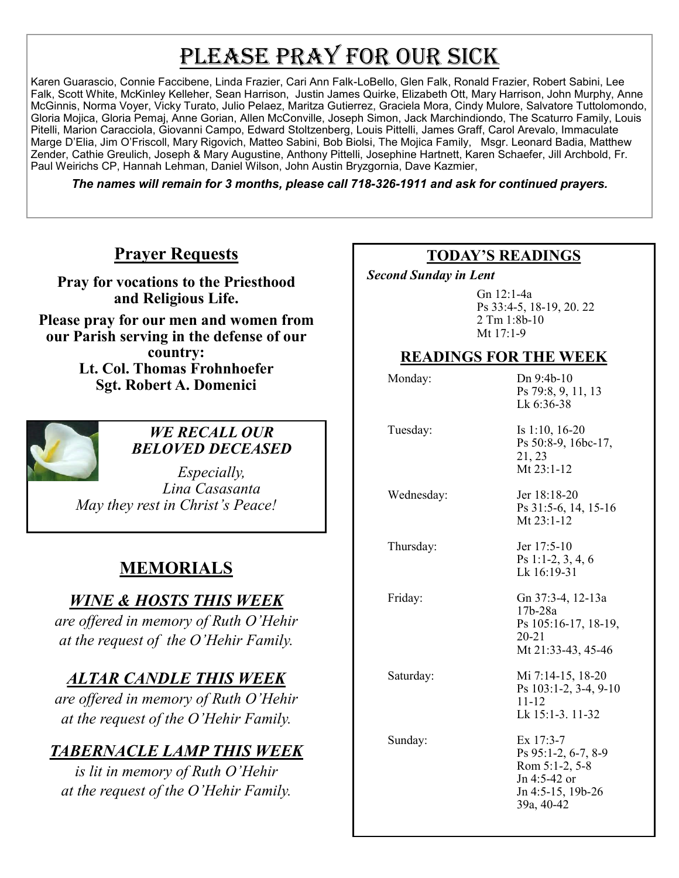# PLEASE PRAY FOR OUR SICK

Karen Guarascio, Connie Faccibene, Linda Frazier, Cari Ann Falk-LoBello, Glen Falk, Ronald Frazier, Robert Sabini, Lee Falk, Scott White, McKinley Kelleher, Sean Harrison, Justin James Quirke, Elizabeth Ott, Mary Harrison, John Murphy, Anne McGinnis, Norma Voyer, Vicky Turato, Julio Pelaez, Maritza Gutierrez, Graciela Mora, Cindy Mulore, Salvatore Tuttolomondo, Gloria Mojica, Gloria Pemaj, Anne Gorian, Allen McConville, Joseph Simon, Jack Marchindiondo, The Scaturro Family, Louis Pitelli, Marion Caracciola, Giovanni Campo, Edward Stoltzenberg, Louis Pittelli, James Graff, Carol Arevalo, Immaculate Marge D'Elia, Jim O'Friscoll, Mary Rigovich, Matteo Sabini, Bob Biolsi, The Mojica Family, Msgr. Leonard Badia, Matthew Zender, Cathie Greulich, Joseph & Mary Augustine, Anthony Pittelli, Josephine Hartnett, Karen Schaefer, Jill Archbold, Fr. Paul Weirichs CP, Hannah Lehman, Daniel Wilson, John Austin Bryzgornia, Dave Kazmier,

*The names will remain for 3 months, please call 718-326-1911 and ask for continued prayers.*

# **Prayer Requests**

**Pray for vocations to the Priesthood and Religious Life.** 

**Please pray for our men and women from our Parish serving in the defense of our country: Lt. Col. Thomas Frohnhoefer Sgt. Robert A. Domenici** 



### *WE RECALL OUR BELOVED DECEASED*

*Especially, Lina Casasanta May they rest in Christ's Peace!*

# **MEMORIALS**

## *WINE & HOSTS THIS WEEK*

*are offered in memory of Ruth O'Hehir at the request of the O'Hehir Family.* 

# *ALTAR CANDLE THIS WEEK*

*are offered in memory of Ruth O'Hehir at the request of the O'Hehir Family.* 

# *TABERNACLE LAMP THIS WEEK*

*is lit in memory of Ruth O'Hehir at the request of the O'Hehir Family.* 

### **TODAY'S READINGS**

 *Second Sunday in Lent* 

Gn 12:1-4a Ps 33:4-5, 18-19, 20. 22 2 Tm 1:8b-10 Mt 17:1-9

### **READINGS FOR THE WEEK**

| Monday:    | $Dn 9:4b-10$<br>Ps 79:8, 9, 11, 13<br>Lk 6:36-38                                                        |
|------------|---------------------------------------------------------------------------------------------------------|
| Tuesday:   | Is 1:10, 16-20<br>Ps 50:8-9, 16bc-17,<br>21, 23<br>Mt 23:1-12                                           |
| Wednesday: | Jer 18:18-20<br>Ps 31:5-6, 14, 15-16<br>Mt 23:1-12                                                      |
| Thursday:  | Jer 17:5-10<br>Ps 1:1-2, 3, 4, 6<br>Lk 16:19-31                                                         |
| Friday:    | Gn 37:3-4, 12-13a<br>$17b-28a$<br>Ps 105:16-17, 18-19,<br>$20 - 21$<br>Mt 21:33-43, 45-46               |
| Saturday:  | Mi 7:14-15, 18-20<br>Ps 103:1-2, 3-4, 9-10<br>$11 - 12$<br>Lk 15:1-3. 11-32                             |
| Sunday:    | $Ex$ 17:3-7<br>Ps 95:1-2, 6-7, 8-9<br>Rom 5:1-2, 5-8<br>Jn 4:5-42 or<br>Jn 4:5-15, 19b-26<br>39a, 40-42 |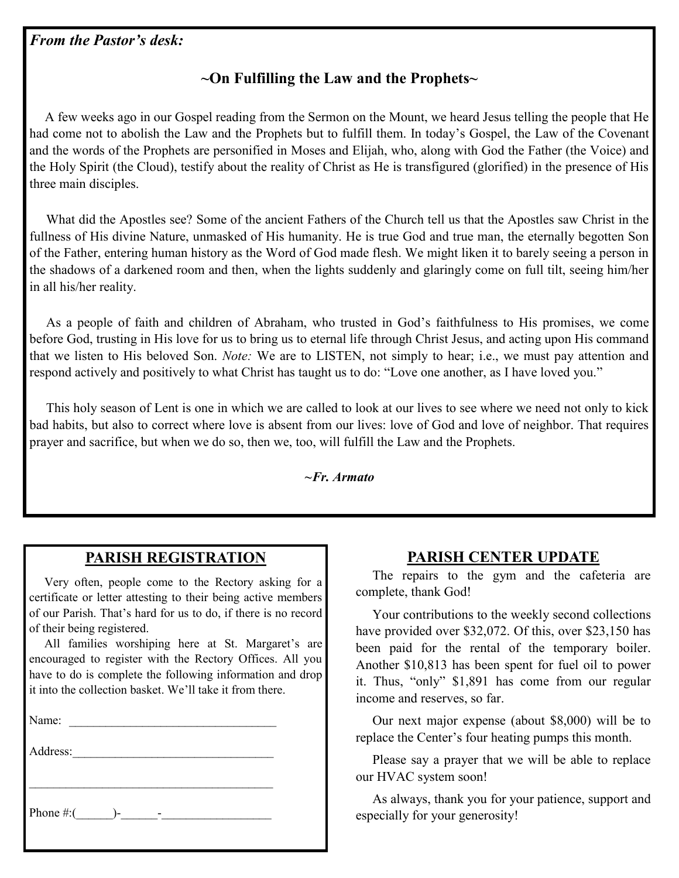#### *From the Pastor's desk:*

## **~On Fulfilling the Law and the Prophets~**

 A few weeks ago in our Gospel reading from the Sermon on the Mount, we heard Jesus telling the people that He had come not to abolish the Law and the Prophets but to fulfill them. In today's Gospel, the Law of the Covenant and the words of the Prophets are personified in Moses and Elijah, who, along with God the Father (the Voice) and the Holy Spirit (the Cloud), testify about the reality of Christ as He is transfigured (glorified) in the presence of His three main disciples.

 What did the Apostles see? Some of the ancient Fathers of the Church tell us that the Apostles saw Christ in the fullness of His divine Nature, unmasked of His humanity. He is true God and true man, the eternally begotten Son of the Father, entering human history as the Word of God made flesh. We might liken it to barely seeing a person in the shadows of a darkened room and then, when the lights suddenly and glaringly come on full tilt, seeing him/her in all his/her reality.

 As a people of faith and children of Abraham, who trusted in God's faithfulness to His promises, we come before God, trusting in His love for us to bring us to eternal life through Christ Jesus, and acting upon His command that we listen to His beloved Son. *Note:* We are to LISTEN, not simply to hear; i.e., we must pay attention and respond actively and positively to what Christ has taught us to do: "Love one another, as I have loved you."

 This holy season of Lent is one in which we are called to look at our lives to see where we need not only to kick bad habits, but also to correct where love is absent from our lives: love of God and love of neighbor. That requires prayer and sacrifice, but when we do so, then we, too, will fulfill the Law and the Prophets.

*~Fr. Armato*

### **PARISH REGISTRATION**

 Very often, people come to the Rectory asking for a certificate or letter attesting to their being active members of our Parish. That's hard for us to do, if there is no record of their being registered.

 All families worshiping here at St. Margaret's are encouraged to register with the Rectory Offices. All you have to do is complete the following information and drop it into the collection basket. We'll take it from there.

Name:

Address:

 $\mathcal{L}_\text{max}$ 

Phone  $\#$ :( )-

### **PARISH CENTER UPDATE**

 The repairs to the gym and the cafeteria are complete, thank God!

 Your contributions to the weekly second collections have provided over \$32,072. Of this, over \$23,150 has been paid for the rental of the temporary boiler. Another \$10,813 has been spent for fuel oil to power it. Thus, "only" \$1,891 has come from our regular income and reserves, so far.

 Our next major expense (about \$8,000) will be to replace the Center's four heating pumps this month.

 Please say a prayer that we will be able to replace our HVAC system soon!

 As always, thank you for your patience, support and especially for your generosity!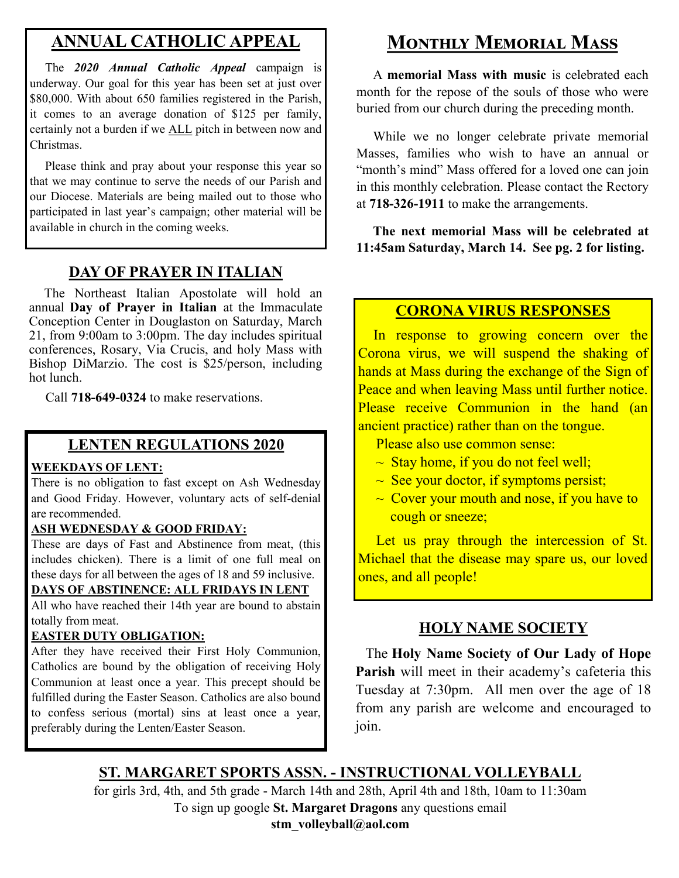# **ANNUAL CATHOLIC APPEAL**

 The *2020 Annual Catholic Appeal* campaign is underway. Our goal for this year has been set at just over \$80,000. With about 650 families registered in the Parish, it comes to an average donation of \$125 per family, certainly not a burden if we ALL pitch in between now and Christmas.

 Please think and pray about your response this year so that we may continue to serve the needs of our Parish and our Diocese. Materials are being mailed out to those who participated in last year's campaign; other material will be available in church in the coming weeks.

### **DAY OF PRAYER IN ITALIAN**

 The Northeast Italian Apostolate will hold an annual **Day of Prayer in Italian** at the Immaculate Conception Center in Douglaston on Saturday, March 21, from 9:00am to 3:00pm. The day includes spiritual conferences, Rosary, Via Crucis, and holy Mass with Bishop DiMarzio. The cost is \$25/person, including hot lunch.

Call **718-649-0324** to make reservations.

### **LENTEN REGULATIONS 2020**

#### **WEEKDAYS OF LENT:**

There is no obligation to fast except on Ash Wednesday and Good Friday. However, voluntary acts of self-denial are recommended.

#### **ASH WEDNESDAY & GOOD FRIDAY:**

These are days of Fast and Abstinence from meat, (this includes chicken). There is a limit of one full meal on these days for all between the ages of 18 and 59 inclusive.

### **DAYS OF ABSTINENCE: ALL FRIDAYS IN LENT**

All who have reached their 14th year are bound to abstain totally from meat.

#### **EASTER DUTY OBLIGATION:**

After they have received their First Holy Communion, Catholics are bound by the obligation of receiving Holy Communion at least once a year. This precept should be fulfilled during the Easter Season. Catholics are also bound to confess serious (mortal) sins at least once a year, preferably during the Lenten/Easter Season.

# **Monthly Memorial Mass**

 A **memorial Mass with music** is celebrated each month for the repose of the souls of those who were buried from our church during the preceding month.

 While we no longer celebrate private memorial Masses, families who wish to have an annual or "month's mind" Mass offered for a loved one can join in this monthly celebration. Please contact the Rectory at **718-326-1911** to make the arrangements.

 **The next memorial Mass will be celebrated at 11:45am Saturday, March 14. See pg. 2 for listing.** 

### **CORONA VIRUS RESPONSES**

In response to growing concern over the Corona virus, we will suspend the shaking of hands at Mass during the exchange of the Sign of Peace and when leaving Mass until further notice. Please receive Communion in the hand (an ancient practice) rather than on the tongue.

Please also use common sense:

- $\sim$  Stay home, if you do not feel well;
- $\sim$  See your doctor, if symptoms persist;
- $\sim$  Cover your mouth and nose, if you have to cough or sneeze;

Let us pray through the intercession of St. Michael that the disease may spare us, our loved ones, and all people!

## **HOLY NAME SOCIETY**

 The **Holy Name Society of Our Lady of Hope Parish** will meet in their academy's cafeteria this Tuesday at 7:30pm. All men over the age of 18 from any parish are welcome and encouraged to join.

# **ST. MARGARET SPORTS ASSN. - INSTRUCTIONAL VOLLEYBALL**

for girls 3rd, 4th, and 5th grade - March 14th and 28th, April 4th and 18th, 10am to 11:30am To sign up google **St. Margaret Dragons** any questions email **stm\_volleyball@aol.com**